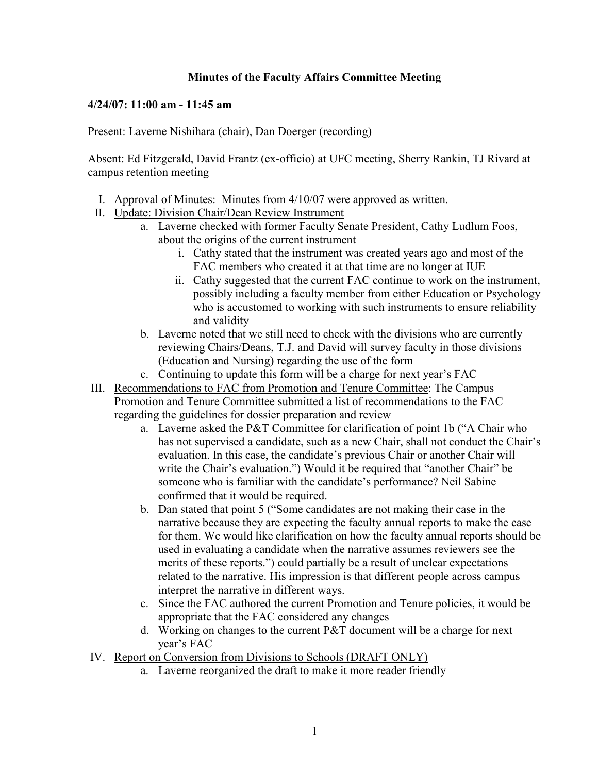## **Minutes of the Faculty Affairs Committee Meeting**

## **4/24/07: 11:00 am - 11:45 am**

Present: Laverne Nishihara (chair), Dan Doerger (recording)

Absent: Ed Fitzgerald, David Frantz (ex-officio) at UFC meeting, Sherry Rankin, TJ Rivard at campus retention meeting

- I. Approval of Minutes: Minutes from 4/10/07 were approved as written.
- II. Update: Division Chair/Dean Review Instrument
	- a. Laverne checked with former Faculty Senate President, Cathy Ludlum Foos, about the origins of the current instrument
		- i. Cathy stated that the instrument was created years ago and most of the FAC members who created it at that time are no longer at IUE
		- ii. Cathy suggested that the current FAC continue to work on the instrument, possibly including a faculty member from either Education or Psychology who is accustomed to working with such instruments to ensure reliability and validity
	- b. Laverne noted that we still need to check with the divisions who are currently reviewing Chairs/Deans, T.J. and David will survey faculty in those divisions (Education and Nursing) regarding the use of the form
	- c. Continuing to update this form will be a charge for next year's FAC
- III. Recommendations to FAC from Promotion and Tenure Committee: The Campus Promotion and Tenure Committee submitted a list of recommendations to the FAC regarding the guidelines for dossier preparation and review
	- a. Laverne asked the P&T Committee for clarification of point 1b ("A Chair who has not supervised a candidate, such as a new Chair, shall not conduct the Chair's evaluation. In this case, the candidate's previous Chair or another Chair will write the Chair's evaluation.") Would it be required that "another Chair" be someone who is familiar with the candidate's performance? Neil Sabine confirmed that it would be required.
	- b. Dan stated that point 5 ("Some candidates are not making their case in the narrative because they are expecting the faculty annual reports to make the case for them. We would like clarification on how the faculty annual reports should be used in evaluating a candidate when the narrative assumes reviewers see the merits of these reports.") could partially be a result of unclear expectations related to the narrative. His impression is that different people across campus interpret the narrative in different ways.
	- c. Since the FAC authored the current Promotion and Tenure policies, it would be appropriate that the FAC considered any changes
	- d. Working on changes to the current P&T document will be a charge for next year's FAC
- IV. Report on Conversion from Divisions to Schools (DRAFT ONLY)
	- a. Laverne reorganized the draft to make it more reader friendly